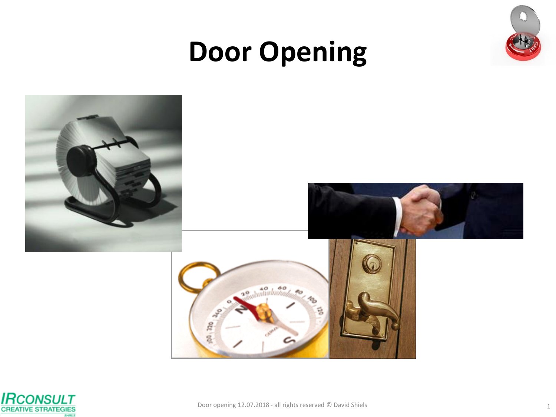

# **Door Opening**



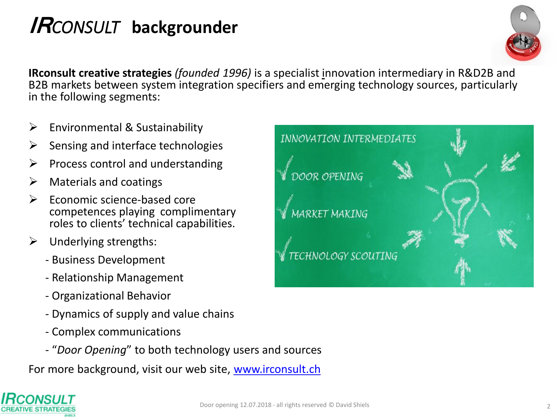## **IR***CONSULT* **backgrounder**



**IRconsult creative strategies** *(founded 1996)* is a specialist innovation intermediary in R&D2B and B2B markets between system integration specifiers and emerging technology sources, particularly in the following segments:

- $\triangleright$  Environmental & Sustainability
- Sensing and interface technologies
- Process control and understanding
- $\triangleright$  Materials and coatings
- $\triangleright$  Economic science-based core competences playing complimentary roles to clients' technical capabilities.
- $\triangleright$  Underlying strengths:
	- Business Development
	- Relationship Management
	- Organizational Behavior
	- Dynamics of supply and value chains
	- Complex communications
	- "*Door Opening*" to both technology users and sources

For more background, visit our web site, [www.irconsult.ch](http://www.irconsult.ch/)

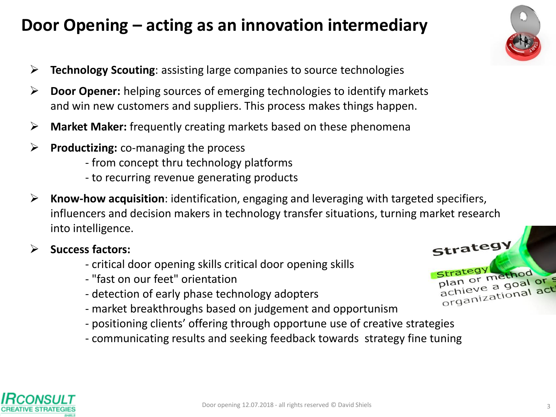## **Door Opening – acting as an innovation intermediary**

- **Technology Scouting**: assisting large companies to source technologies
- **Door Opener:** helping sources of emerging technologies to identify markets and win new customers and suppliers. This process makes things happen.
- **Market Maker:** frequently creating markets based on these phenomena
- **Productizing:** co-managing the process
	- from concept thru technology platforms
	- to recurring revenue generating products
- **Know-how acquisition**: identification, engaging and leveraging with targeted specifiers, influencers and decision makers in technology transfer situations, turning market research into intelligence.
- **Success factors:**
	- critical door opening skills critical door opening skills
	- "fast on our feet" orientation
	- detection of early phase technology adopters
	- market breakthroughs based on judgement and opportunism
	- positioning clients' offering through opportune use of creative strategies
	- communicating results and seeking feedback towards strategy fine tuning



Strategy

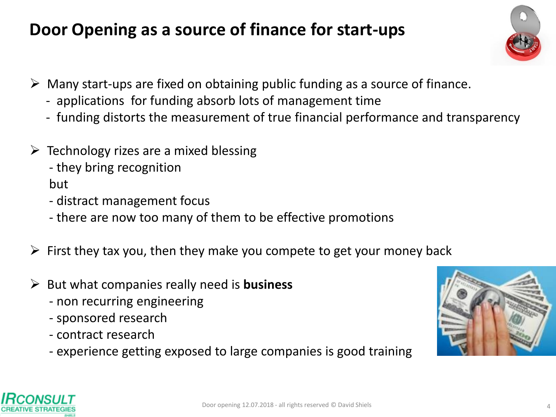## **Door Opening as a source of finance for start-ups**



- $\triangleright$  Many start-ups are fixed on obtaining public funding as a source of finance.
	- applications for funding absorb lots of management time
	- funding distorts the measurement of true financial performance and transparency
- $\triangleright$  Technology rizes are a mixed blessing
	- they bring recognition

but

- distract management focus
- there are now too many of them to be effective promotions
- $\triangleright$  First they tax you, then they make you compete to get your money back
- But what companies really need is **business**
	- non recurring engineering
	- sponsored research
	- contract research
	- experience getting exposed to large companies is good training



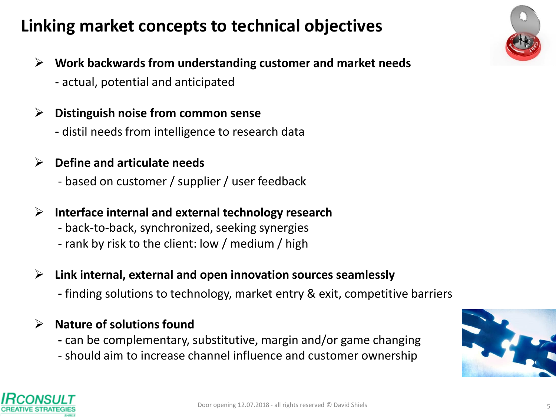## **Linking market concepts to technical objectives**

- **Work backwards from understanding customer and market needs**
	- actual, potential and anticipated

#### **Distinguish noise from common sense**

**-** distil needs from intelligence to research data

#### **Define and articulate needs**

- based on customer / supplier / user feedback

#### **Interface internal and external technology research**

- back-to-back, synchronized, seeking synergies
- rank by risk to the client: low / medium / high
- **Link internal, external and open innovation sources seamlessly**
	- **-** finding solutions to technology, market entry & exit, competitive barriers

#### **Nature of solutions found**

- **-** can be complementary, substitutive, margin and/or game changing
- should aim to increase channel influence and customer ownership





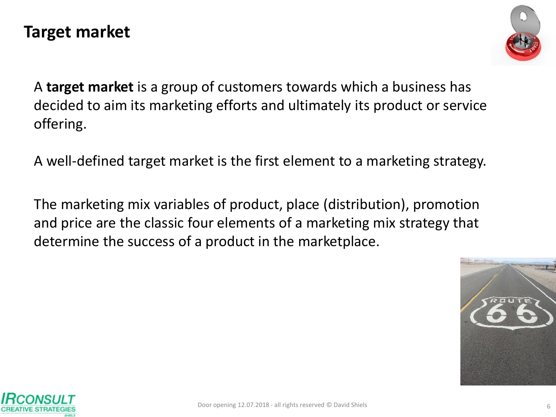#### **Target market**



A **target market** is a group of customers towards which a business has decided to aim its marketing efforts and ultimately its product or service offering.

A well-defined target market is the first element to a marketing strategy.

The marketing mix variables of product, place (distribution), promotion and price are the classic four elements of a marketing mix strategy that determine the success of a product in the marketplace.



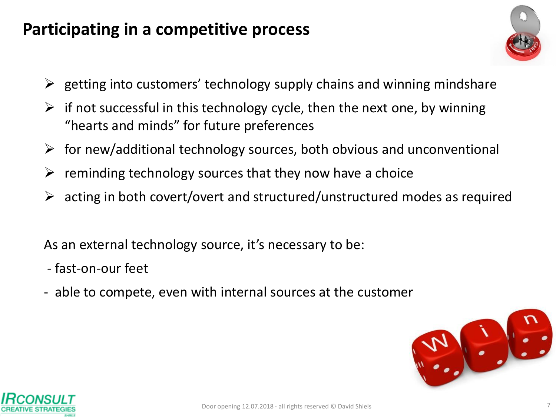#### **Participating in a competitive process**



- $\triangleright$  getting into customers' technology supply chains and winning mindshare
- $\triangleright$  if not successful in this technology cycle, then the next one, by winning "hearts and minds" for future preferences
- $\triangleright$  for new/additional technology sources, both obvious and unconventional
- $\triangleright$  reminding technology sources that they now have a choice
- $\triangleright$  acting in both covert/overt and structured/unstructured modes as required

As an external technology source, it's necessary to be:

- fast-on-our feet
- able to compete, even with internal sources at the customer



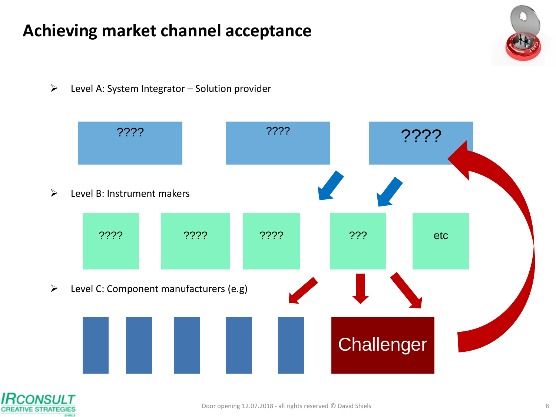### **Achieving market channel acceptance**

 $\triangleright$  Level A: System Integrator – Solution provider



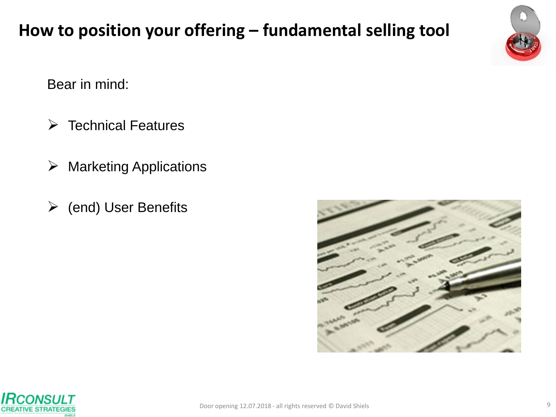## **How to position your offering – fundamental selling tool**

Bear in mind:

- $\triangleright$  Technical Features
- $\triangleright$  Marketing Applications
- $\triangleright$  (end) User Benefits





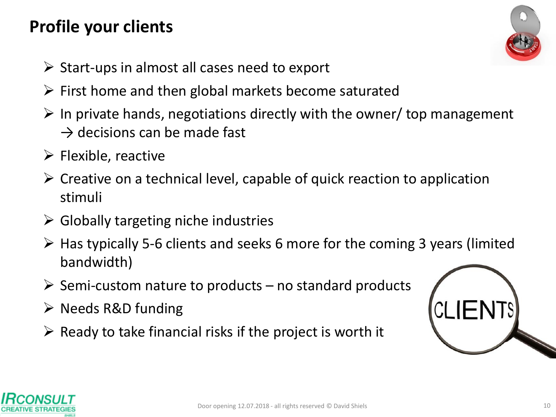## **Profile your clients**



- $\triangleright$  Start-ups in almost all cases need to export
- $\triangleright$  First home and then global markets become saturated
- $\triangleright$  In private hands, negotiations directly with the owner/ top management  $\rightarrow$  decisions can be made fast
- $\triangleright$  Flexible, reactive
- $\triangleright$  Creative on a technical level, capable of quick reaction to application stimuli
- $\triangleright$  Globally targeting niche industries
- $\triangleright$  Has typically 5-6 clients and seeks 6 more for the coming 3 years (limited bandwidth)
- $\triangleright$  Semi-custom nature to products no standard products
- $\triangleright$  Needs R&D funding
- $\triangleright$  Ready to take financial risks if the project is worth it



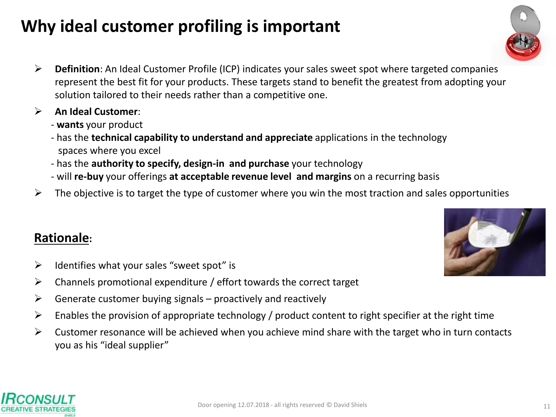## **Why ideal customer profiling is important**

- **Definition**: An Ideal Customer Profile (ICP) indicates your sales sweet spot where targeted companies represent the best fit for your products. These targets stand to benefit the greatest from adopting your solution tailored to their needs rather than a competitive one.
- **An Ideal Customer**:
	- **wants** your product
	- has the **technical capability to understand and appreciate** applications in the technology spaces where you excel
	- has the **authority to specify, design-in and purchase** your technology
	- will **re-buy** your offerings **at acceptable revenue level and margins** on a recurring basis
- $\triangleright$  The objective is to target the type of customer where you win the most traction and sales opportunities

#### **Rationale:**

- $\triangleright$  Identifies what your sales "sweet spot" is
- $\triangleright$  Channels promotional expenditure / effort towards the correct target
- $\triangleright$  Generate customer buying signals proactively and reactively
- $\triangleright$  Enables the provision of appropriate technology / product content to right specifier at the right time
- $\triangleright$  Customer resonance will be achieved when you achieve mind share with the target who in turn contacts you as his "ideal supplier"







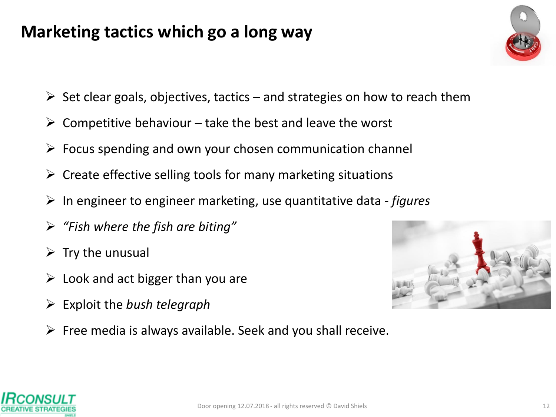### **Marketing tactics which go a long way**

- $\triangleright$  Set clear goals, objectives, tactics and strategies on how to reach them
- $\triangleright$  Competitive behaviour take the best and leave the worst
- $\triangleright$  Focus spending and own your chosen communication channel
- $\triangleright$  Create effective selling tools for many marketing situations
- In engineer to engineer marketing, use quantitative data *- figures*
- *"Fish where the fish are biting"*
- $\triangleright$  Try the unusual
- $\triangleright$  Look and act bigger than you are
- Exploit the *bush telegraph*
- $\triangleright$  Free media is always available. Seek and you shall receive.



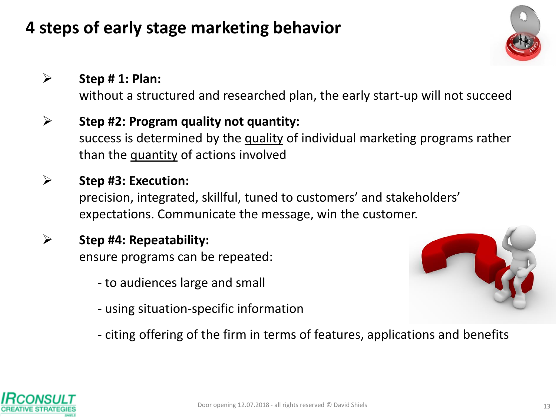## **4 steps of early stage marketing behavior**

#### **Step # 1: Plan:**

without a structured and researched plan, the early start-up will not succeed

#### **Step #2: Program quality not quantity:**  success is determined by the quality of individual marketing programs rather than the quantity of actions involved

#### **Step #3: Execution:**  precision, integrated, skillful, tuned to customers' and stakeholders' expectations. Communicate the message, win the customer.

#### **Step #4: Repeatability:**  ensure programs can be repeated:

- to audiences large and small
- using situation-specific information



- citing offering of the firm in terms of features, applications and benefits

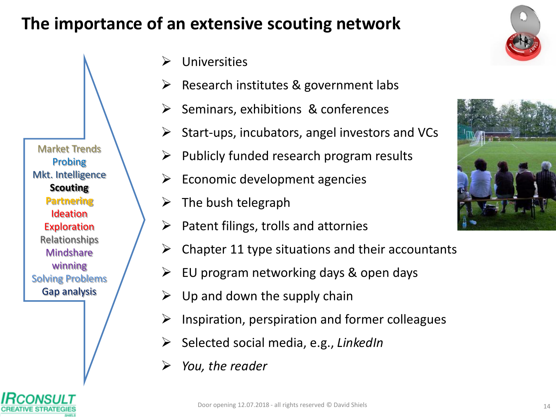### **The importance of an extensive scouting network**

Universities

Market Trends Probing Mkt. Intelligence **Scouting Partnering** Ideation **Exploration** Relationships **Mindshare** winning Solving Problems Gap analysis

- Research institutes & government labs
- $\triangleright$  Seminars, exhibitions & conferences
- $\triangleright$  Start-ups, incubators, angel investors and VCs
	- Publicly funded research program results
- Economic development agencies
- $\triangleright$  The bush telegraph
- $\triangleright$  Patent filings, trolls and attornies
- $\triangleright$  Chapter 11 type situations and their accountants
- $\triangleright$  EU program networking days & open days
- Up and down the supply chain
- $\triangleright$  Inspiration, perspiration and former colleagues
- Selected social media, e.g., *LinkedIn*
- *You, the reader*



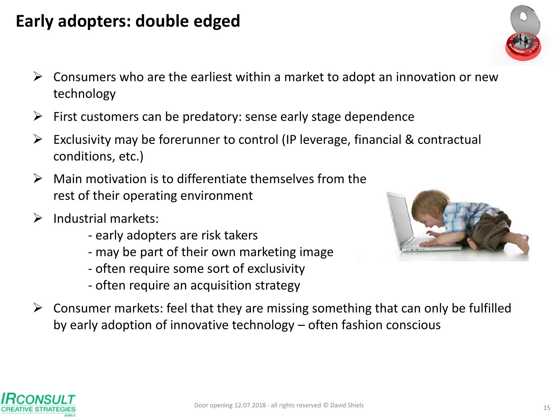#### **Early adopters: double edged**

- $\triangleright$  Consumers who are the earliest within a market to adopt an innovation or new technology
- First customers can be predatory: sense early stage dependence
- Exclusivity may be forerunner to control (IP leverage, financial & contractual conditions, etc.)
- Main motivation is to differentiate themselves from the rest of their operating environment
- Industrial markets:
	- early adopters are risk takers
	- may be part of their own marketing image
	- often require some sort of exclusivity
	- often require an acquisition strategy
- $\triangleright$  Consumer markets: feel that they are missing something that can only be fulfilled by early adoption of innovative technology – often fashion conscious